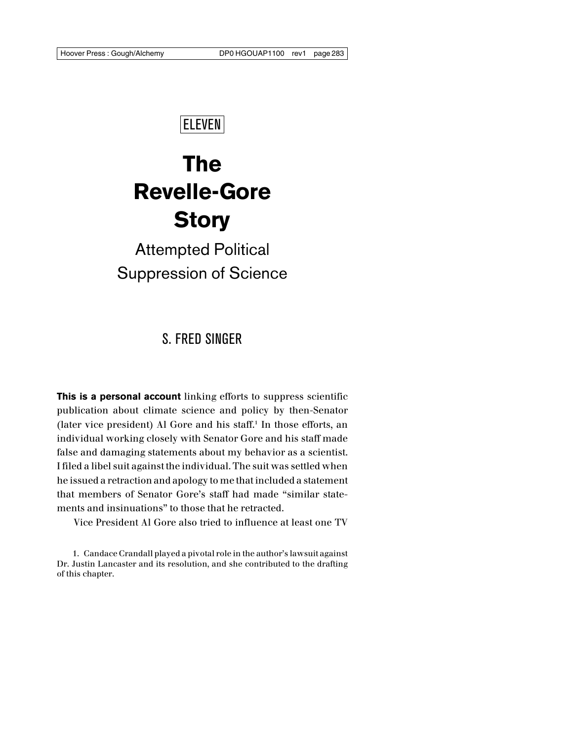

## Attempted Political Suppression of Science

### S. FRED SINGER

**This is a personal account** linking efforts to suppress scientific publication about climate science and policy by then-Senator (later vice president) Al Gore and his staff.1 In those efforts, an individual working closely with Senator Gore and his staff made false and damaging statements about my behavior as a scientist. I filed a libel suit against the individual. The suit was settled when he issued a retraction and apology to me that included a statement that members of Senator Gore's staff had made "similar statements and insinuations" to those that he retracted.

Vice President Al Gore also tried to influence at least one TV

<sup>1.</sup> Candace Crandall played a pivotal role in the author's lawsuit against Dr. Justin Lancaster and its resolution, and she contributed to the drafting of this chapter.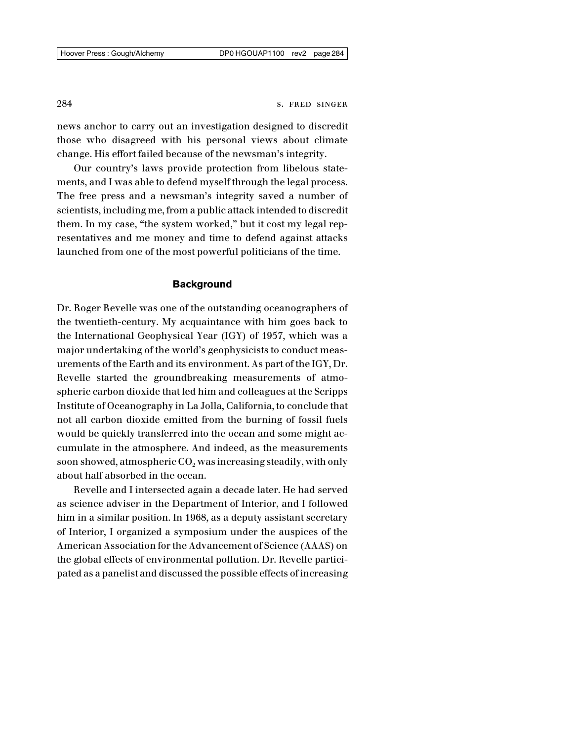news anchor to carry out an investigation designed to discredit those who disagreed with his personal views about climate change. His effort failed because of the newsman's integrity.

Our country's laws provide protection from libelous statements, and I was able to defend myself through the legal process. The free press and a newsman's integrity saved a number of scientists, including me, from a public attack intended to discredit them. In my case, "the system worked," but it cost my legal representatives and me money and time to defend against attacks launched from one of the most powerful politicians of the time.

#### **Background**

Dr. Roger Revelle was one of the outstanding oceanographers of the twentieth-century. My acquaintance with him goes back to the International Geophysical Year (IGY) of 1957, which was a major undertaking of the world's geophysicists to conduct measurements of the Earth and its environment. As part of the IGY, Dr. Revelle started the groundbreaking measurements of atmospheric carbon dioxide that led him and colleagues at the Scripps Institute of Oceanography in La Jolla, California, to conclude that not all carbon dioxide emitted from the burning of fossil fuels would be quickly transferred into the ocean and some might accumulate in the atmosphere. And indeed, as the measurements soon showed, atmospheric  $CO<sub>2</sub>$  was increasing steadily, with only about half absorbed in the ocean.

Revelle and I intersected again a decade later. He had served as science adviser in the Department of Interior, and I followed him in a similar position. In 1968, as a deputy assistant secretary of Interior, I organized a symposium under the auspices of the American Association for the Advancement of Science (AAAS) on the global effects of environmental pollution. Dr. Revelle participated as a panelist and discussed the possible effects of increasing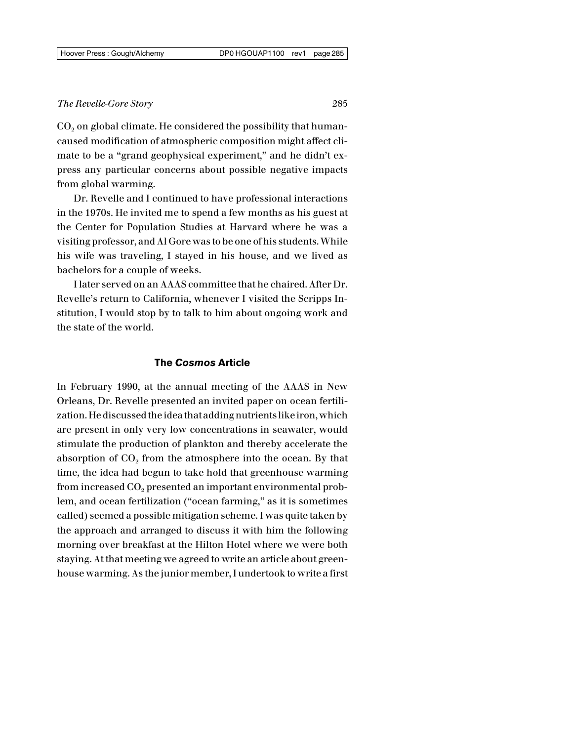$CO<sub>2</sub>$  on global climate. He considered the possibility that humancaused modification of atmospheric composition might affect climate to be a "grand geophysical experiment," and he didn't express any particular concerns about possible negative impacts from global warming.

Dr. Revelle and I continued to have professional interactions in the 1970s. He invited me to spend a few months as his guest at the Center for Population Studies at Harvard where he was a visiting professor, and Al Gore was to be one of his students.While his wife was traveling, I stayed in his house, and we lived as bachelors for a couple of weeks.

I later served on an AAAS committee that he chaired. After Dr. Revelle's return to California, whenever I visited the Scripps Institution, I would stop by to talk to him about ongoing work and the state of the world.

#### **The** *Cosmos* **Article**

In February 1990, at the annual meeting of the AAAS in New Orleans, Dr. Revelle presented an invited paper on ocean fertilization. He discussed the idea that adding nutrients like iron,which are present in only very low concentrations in seawater, would stimulate the production of plankton and thereby accelerate the absorption of  $CO<sub>2</sub>$  from the atmosphere into the ocean. By that time, the idea had begun to take hold that greenhouse warming from increased  $CO<sub>2</sub>$  presented an important environmental problem, and ocean fertilization ("ocean farming," as it is sometimes called) seemed a possible mitigation scheme. I was quite taken by the approach and arranged to discuss it with him the following morning over breakfast at the Hilton Hotel where we were both staying. At that meeting we agreed to write an article about greenhouse warming. As the junior member, I undertook to write a first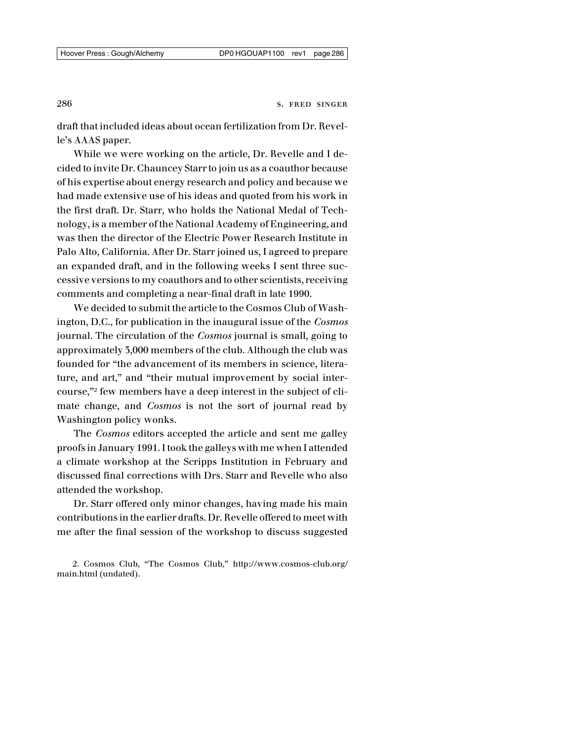draft that included ideas about ocean fertilization from Dr. Revelle's AAAS paper.

While we were working on the article, Dr. Revelle and I decided to invite Dr. Chauncey Starr to join us as a coauthor because of his expertise about energy research and policy and because we had made extensive use of his ideas and quoted from his work in the first draft. Dr. Starr, who holds the National Medal of Technology, is a member of the National Academy of Engineering, and was then the director of the Electric Power Research Institute in Palo Alto, California. After Dr. Starr joined us, I agreed to prepare an expanded draft, and in the following weeks I sent three successive versions to my coauthors and to other scientists, receiving comments and completing a near-final draft in late 1990.

We decided to submit the article to the Cosmos Club of Washington, D.C., for publication in the inaugural issue of the *Cosmos* journal. The circulation of the *Cosmos* journal is small, going to approximately 3,000 members of the club. Although the club was founded for "the advancement of its members in science, literature, and art," and "their mutual improvement by social intercourse,"2 few members have a deep interest in the subject of climate change, and *Cosmos* is not the sort of journal read by Washington policy wonks.

The *Cosmos* editors accepted the article and sent me galley proofs in January 1991. I took the galleys with me when I attended a climate workshop at the Scripps Institution in February and discussed final corrections with Drs. Starr and Revelle who also attended the workshop.

Dr. Starr offered only minor changes, having made his main contributions in the earlier drafts. Dr. Revelle offered to meet with me after the final session of the workshop to discuss suggested

<sup>2.</sup> Cosmos Club, "The Cosmos Club," http://www.cosmos-club.org/ main.html (undated).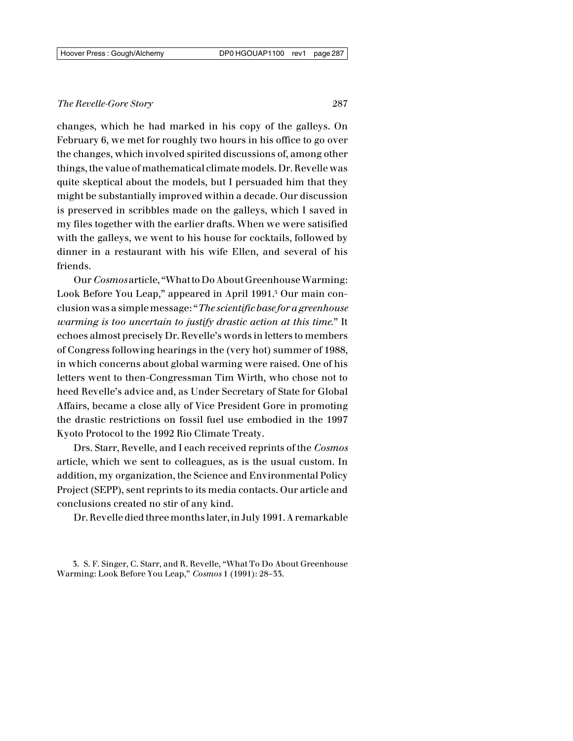changes, which he had marked in his copy of the galleys. On February 6, we met for roughly two hours in his office to go over the changes, which involved spirited discussions of, among other things, the value of mathematical climatemodels. Dr. Revelle was quite skeptical about the models, but I persuaded him that they might be substantially improved within a decade. Our discussion is preserved in scribbles made on the galleys, which I saved in my files together with the earlier drafts. When we were satisified with the galleys, we went to his house for cocktails, followed by dinner in a restaurant with his wife Ellen, and several of his friends.

Our*Cosmos* article, "What to Do About GreenhouseWarming: Look Before You Leap," appeared in April 1991.<sup>5</sup> Our main conclusion was a simplemessage: "*The scientific base for a greenhouse warming is too uncertain to justify drastic action at this time.*" It echoes almost precisely Dr. Revelle's words in letters to members of Congress following hearings in the (very hot) summer of 1988, in which concerns about global warming were raised. One of his letters went to then-Congressman Tim Wirth, who chose not to heed Revelle's advice and, as Under Secretary of State for Global Affairs, became a close ally of Vice President Gore in promoting the drastic restrictions on fossil fuel use embodied in the 1997 Kyoto Protocol to the 1992 Rio Climate Treaty.

Drs. Starr, Revelle, and I each received reprints of the *Cosmos* article, which we sent to colleagues, as is the usual custom. In addition, my organization, the Science and Environmental Policy Project (SEPP), sent reprints to its media contacts. Our article and conclusions created no stir of any kind.

Dr. Revelle died threemonths later, in July 1991. A remarkable

<sup>3.</sup> S. F. Singer, C. Starr, and R. Revelle, "What To Do About Greenhouse Warming: Look Before You Leap," *Cosmos* 1 (1991): 28–33.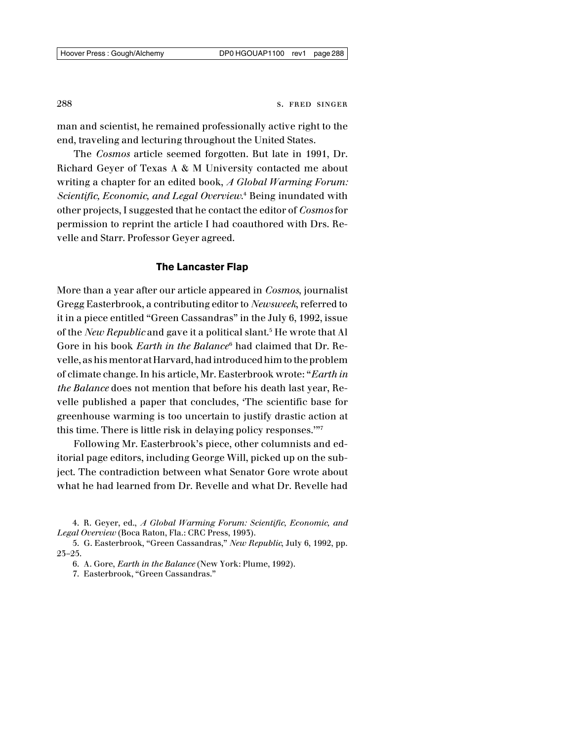man and scientist, he remained professionally active right to the end, traveling and lecturing throughout the United States.

The *Cosmos* article seemed forgotten. But late in 1991, Dr. Richard Geyer of Texas A & M University contacted me about writing a chapter for an edited book, *A Global Warming Forum: Scientific, Economic, and Legal Overview*. <sup>4</sup> Being inundated with other projects, I suggested that he contact the editor of *Cosmos* for permission to reprint the article I had coauthored with Drs. Revelle and Starr. Professor Geyer agreed.

#### **The Lancaster Flap**

More than a year after our article appeared in *Cosmos*, journalist Gregg Easterbrook, a contributing editor to *Newsweek*, referred to it in a piece entitled "Green Cassandras" in the July 6, 1992, issue of the *New Republic* and gave it a political slant.5 He wrote that Al Gore in his book *Earth in the Balance*<sup>6</sup> had claimed that Dr. Revelle, as hismentor at Harvard,had introduced him to the problem of climate change. In his article, Mr. Easterbrook wrote: "*Earth in the Balance* does not mention that before his death last year, Revelle published a paper that concludes, 'The scientific base for greenhouse warming is too uncertain to justify drastic action at this time. There is little risk in delaying policy responses.'"7

Following Mr. Easterbrook's piece, other columnists and editorial page editors, including George Will, picked up on the subject. The contradiction between what Senator Gore wrote about what he had learned from Dr. Revelle and what Dr. Revelle had

7. Easterbrook, "Green Cassandras."

<sup>4.</sup> R. Geyer, ed., *A Global Warming Forum: Scientific, Economic, and Legal Overview* (Boca Raton, Fla.: CRC Press, 1993).

<sup>5.</sup> G. Easterbrook, "Green Cassandras," *New Republic*, July 6, 1992, pp. 23–25.

<sup>6.</sup> A. Gore, *Earth in the Balance* (New York: Plume, 1992).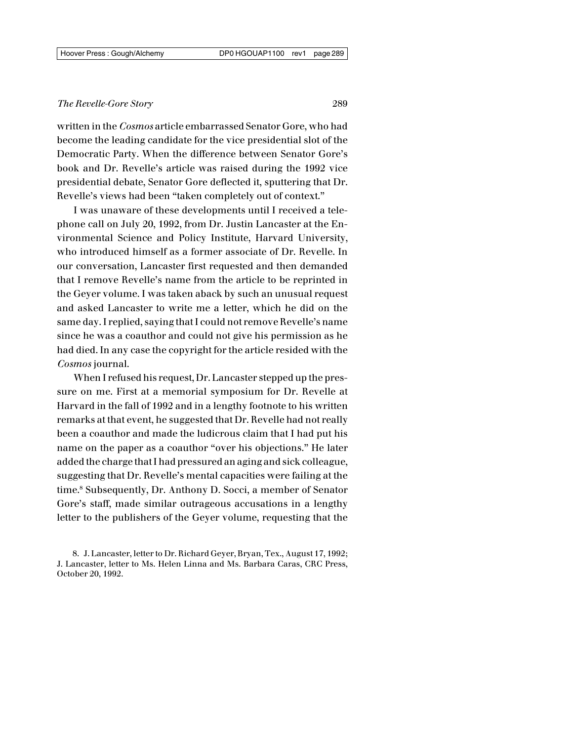written in the *Cosmos* article embarrassed Senator Gore, who had become the leading candidate for the vice presidential slot of the Democratic Party. When the difference between Senator Gore's book and Dr. Revelle's article was raised during the 1992 vice presidential debate, Senator Gore deflected it, sputtering that Dr. Revelle's views had been "taken completely out of context."

I was unaware of these developments until I received a telephone call on July 20, 1992, from Dr. Justin Lancaster at the Environmental Science and Policy Institute, Harvard University, who introduced himself as a former associate of Dr. Revelle. In our conversation, Lancaster first requested and then demanded that I remove Revelle's name from the article to be reprinted in the Geyer volume. I was taken aback by such an unusual request and asked Lancaster to write me a letter, which he did on the same day. I replied, saying that I could not remove Revelle's name since he was a coauthor and could not give his permission as he had died. In any case the copyright for the article resided with the *Cosmos* journal.

When I refused his request, Dr. Lancaster stepped up the pressure on me. First at a memorial symposium for Dr. Revelle at Harvard in the fall of 1992 and in a lengthy footnote to his written remarks at that event, he suggested that Dr. Revelle had not really been a coauthor and made the ludicrous claim that I had put his name on the paper as a coauthor "over his objections." He later added the charge that I had pressured an aging and sick colleague, suggesting that Dr. Revelle's mental capacities were failing at the time.8 Subsequently, Dr. Anthony D. Socci, a member of Senator Gore's staff, made similar outrageous accusations in a lengthy letter to the publishers of the Geyer volume, requesting that the

<sup>8.</sup> J. Lancaster, letter to Dr. Richard Geyer, Bryan, Tex., August 17, 1992; J. Lancaster, letter to Ms. Helen Linna and Ms. Barbara Caras, CRC Press, October 20, 1992.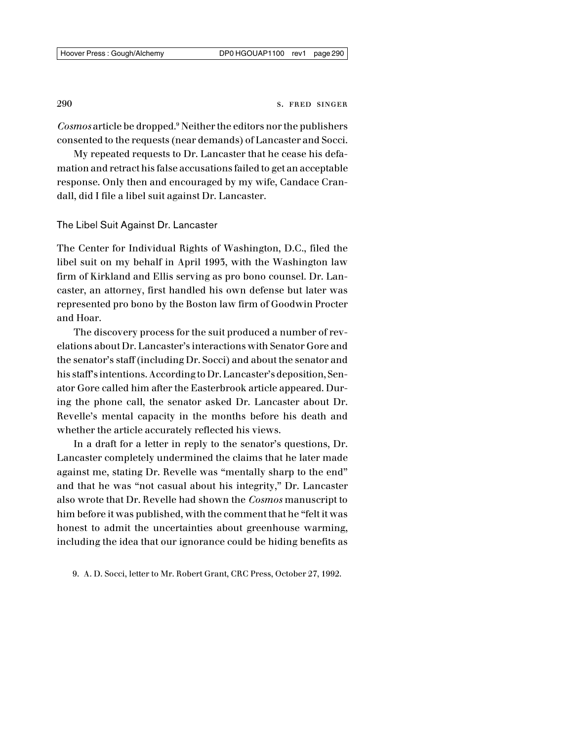*Cosmos* article be dropped.9 Neither the editors nor the publishers consented to the requests (near demands) of Lancaster and Socci.

My repeated requests to Dr. Lancaster that he cease his defamation and retract his false accusations failed to get an acceptable response. Only then and encouraged by my wife, Candace Crandall, did I file a libel suit against Dr. Lancaster.

#### The Libel Suit Against Dr. Lancaster

The Center for Individual Rights of Washington, D.C., filed the libel suit on my behalf in April 1993, with the Washington law firm of Kirkland and Ellis serving as pro bono counsel. Dr. Lancaster, an attorney, first handled his own defense but later was represented pro bono by the Boston law firm of Goodwin Procter and Hoar.

The discovery process for the suit produced a number of revelations about Dr. Lancaster's interactions with Senator Gore and the senator's staff (including Dr. Socci) and about the senator and his staff's intentions. According to Dr. Lancaster's deposition, Senator Gore called him after the Easterbrook article appeared. During the phone call, the senator asked Dr. Lancaster about Dr. Revelle's mental capacity in the months before his death and whether the article accurately reflected his views.

In a draft for a letter in reply to the senator's questions, Dr. Lancaster completely undermined the claims that he later made against me, stating Dr. Revelle was "mentally sharp to the end" and that he was "not casual about his integrity," Dr. Lancaster also wrote that Dr. Revelle had shown the *Cosmos* manuscript to him before it was published, with the comment that he "felt it was honest to admit the uncertainties about greenhouse warming, including the idea that our ignorance could be hiding benefits as

9. A. D. Socci, letter to Mr. Robert Grant, CRC Press, October 27, 1992.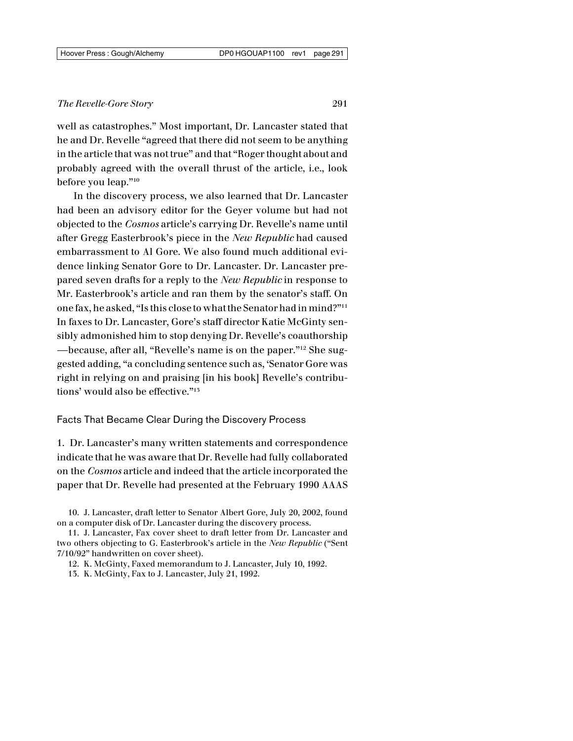well as catastrophes." Most important, Dr. Lancaster stated that he and Dr. Revelle "agreed that there did not seem to be anything in the article that was not true" and that "Roger thought about and probably agreed with the overall thrust of the article, i.e., look before you leap."10

In the discovery process, we also learned that Dr. Lancaster had been an advisory editor for the Geyer volume but had not objected to the *Cosmos* article's carrying Dr. Revelle's name until after Gregg Easterbrook's piece in the *New Republic* had caused embarrassment to Al Gore. We also found much additional evidence linking Senator Gore to Dr. Lancaster. Dr. Lancaster prepared seven drafts for a reply to the *New Republic* in response to Mr. Easterbrook's article and ran them by the senator's staff. On one fax, he asked, "Is this close to what the Senator had in mind?"11 In faxes to Dr. Lancaster, Gore's staff director Katie McGinty sensibly admonished him to stop denying Dr. Revelle's coauthorship ——because, after all, "Revelle's name is on the paper."12 She suggested adding, "a concluding sentence such as, 'Senator Gore was right in relying on and praising [in his book] Revelle's contributions' would also be effective."13

#### Facts That Became Clear During the Discovery Process

1. Dr. Lancaster's many written statements and correspondence indicate that he was aware that Dr. Revelle had fully collaborated on the *Cosmos* article and indeed that the article incorporated the paper that Dr. Revelle had presented at the February 1990 AAAS

11. J. Lancaster, Fax cover sheet to draft letter from Dr. Lancaster and two others objecting to G. Easterbrook's article in the *New Republic* ("Sent 7/10/92" handwritten on cover sheet).

- 12. K. McGinty, Faxed memorandum to J. Lancaster, July 10, 1992.
- 13. K. McGinty, Fax to J. Lancaster, July 21, 1992.

<sup>10.</sup> J. Lancaster, draft letter to Senator Albert Gore, July 20, 2002, found on a computer disk of Dr. Lancaster during the discovery process.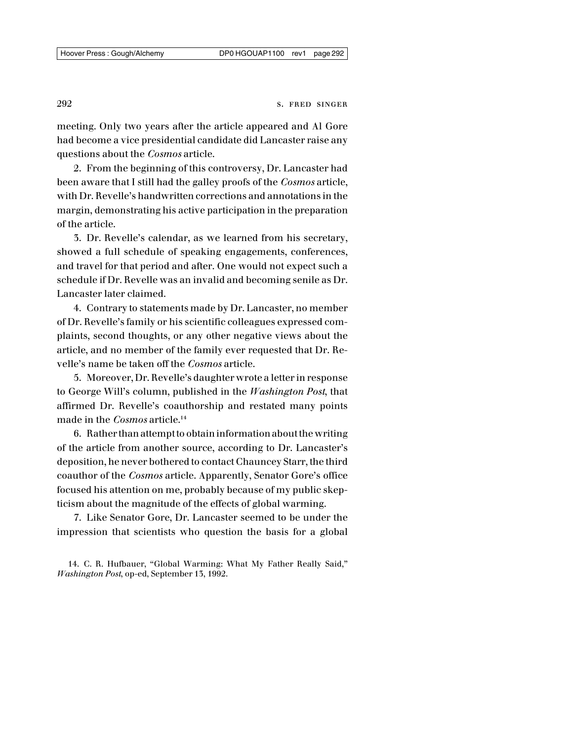meeting. Only two years after the article appeared and Al Gore had become a vice presidential candidate did Lancaster raise any questions about the *Cosmos* article.

2. From the beginning of this controversy, Dr. Lancaster had been aware that I still had the galley proofs of the *Cosmos* article, with Dr. Revelle's handwritten corrections and annotations in the margin, demonstrating his active participation in the preparation of the article.

3. Dr. Revelle's calendar, as we learned from his secretary, showed a full schedule of speaking engagements, conferences, and travel for that period and after. One would not expect such a schedule if Dr. Revelle was an invalid and becoming senile as Dr. Lancaster later claimed.

4. Contrary to statements made by Dr. Lancaster, no member of Dr. Revelle's family or his scientific colleagues expressed complaints, second thoughts, or any other negative views about the article, and no member of the family ever requested that Dr. Revelle's name be taken off the *Cosmos* article.

5. Moreover, Dr. Revelle's daughter wrote a letter in response to George Will's column, published in the *Washington Post*, that affirmed Dr. Revelle's coauthorship and restated many points made in the *Cosmos* article.14

6. Rather than attempt to obtain information about the writing of the article from another source, according to Dr. Lancaster's deposition, he never bothered to contact Chauncey Starr, the third coauthor of the *Cosmos* article. Apparently, Senator Gore's office focused his attention on me, probably because of my public skepticism about the magnitude of the effects of global warming.

7. Like Senator Gore, Dr. Lancaster seemed to be under the impression that scientists who question the basis for a global

<sup>14.</sup> C. R. Hufbauer, "Global Warming: What My Father Really Said," *Washington Post*, op-ed, September 13, 1992.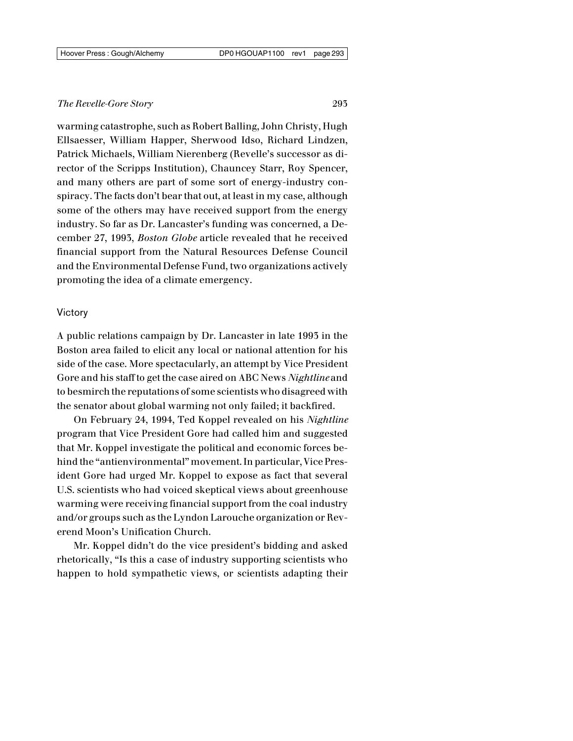warming catastrophe, such as Robert Balling, John Christy, Hugh Ellsaesser, William Happer, Sherwood Idso, Richard Lindzen, Patrick Michaels, William Nierenberg (Revelle's successor as director of the Scripps Institution), Chauncey Starr, Roy Spencer, and many others are part of some sort of energy-industry conspiracy. The facts don't bear that out, at least in my case, although some of the others may have received support from the energy industry. So far as Dr. Lancaster's funding was concerned, a December 27, 1993, *Boston Globe* article revealed that he received financial support from the Natural Resources Defense Council and the Environmental Defense Fund, two organizations actively promoting the idea of a climate emergency.

#### **Victory**

A public relations campaign by Dr. Lancaster in late 1993 in the Boston area failed to elicit any local or national attention for his side of the case. More spectacularly, an attempt by Vice President Gore and his staff to get the case aired on ABC News *Nightline* and to besmirch the reputations of some scientists who disagreed with the senator about global warming not only failed; it backfired.

On February 24, 1994, Ted Koppel revealed on his *Nightline* program that Vice President Gore had called him and suggested that Mr. Koppel investigate the political and economic forces behind the "antienvironmental" movement. In particular, Vice President Gore had urged Mr. Koppel to expose as fact that several U.S. scientists who had voiced skeptical views about greenhouse warming were receiving financial support from the coal industry and/or groups such as the Lyndon Larouche organization or Reverend Moon's Unification Church.

Mr. Koppel didn't do the vice president's bidding and asked rhetorically, "Is this a case of industry supporting scientists who happen to hold sympathetic views, or scientists adapting their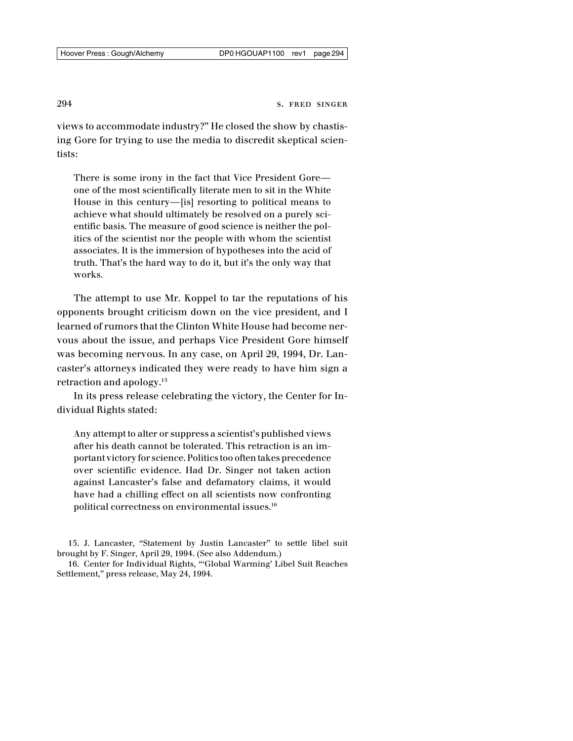views to accommodate industry?" He closed the show by chastising Gore for trying to use the media to discredit skeptical scientists:

There is some irony in the fact that Vice President Gore one of the most scientifically literate men to sit in the White House in this century——[is] resorting to political means to achieve what should ultimately be resolved on a purely scientific basis. The measure of good science is neither the politics of the scientist nor the people with whom the scientist associates. It is the immersion of hypotheses into the acid of truth. That's the hard way to do it, but it's the only way that works.

The attempt to use Mr. Koppel to tar the reputations of his opponents brought criticism down on the vice president, and I learned of rumors that the Clinton White House had become nervous about the issue, and perhaps Vice President Gore himself was becoming nervous. In any case, on April 29, 1994, Dr. Lancaster's attorneys indicated they were ready to have him sign a retraction and apology.15

In its press release celebrating the victory, the Center for Individual Rights stated:

Any attempt to alter or suppress a scientist's published views after his death cannot be tolerated. This retraction is an important victory for science. Politics too often takes precedence over scientific evidence. Had Dr. Singer not taken action against Lancaster's false and defamatory claims, it would have had a chilling effect on all scientists now confronting political correctness on environmental issues.16

15. J. Lancaster, "Statement by Justin Lancaster" to settle libel suit brought by F. Singer, April 29, 1994. (See also Addendum.)

16. Center for Individual Rights, "'Global Warming' Libel Suit Reaches Settlement," press release, May 24, 1994.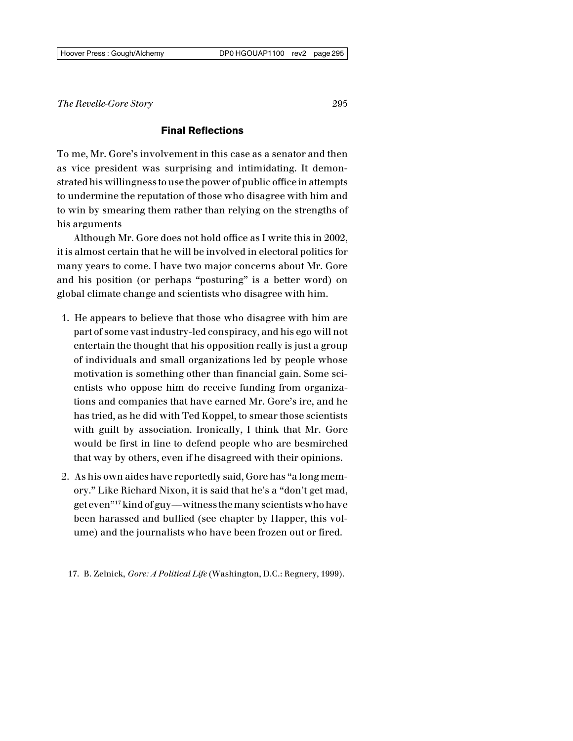#### **Final Reflections**

To me, Mr. Gore's involvement in this case as a senator and then as vice president was surprising and intimidating. It demonstrated his willingness to use the power of public office in attempts to undermine the reputation of those who disagree with him and to win by smearing them rather than relying on the strengths of his arguments

Although Mr. Gore does not hold office as I write this in 2002, it is almost certain that he will be involved in electoral politics for many years to come. I have two major concerns about Mr. Gore and his position (or perhaps "posturing" is a better word) on global climate change and scientists who disagree with him.

- 1. He appears to believe that those who disagree with him are part of some vast industry-led conspiracy, and his ego will not entertain the thought that his opposition really is just a group of individuals and small organizations led by people whose motivation is something other than financial gain. Some scientists who oppose him do receive funding from organizations and companies that have earned Mr. Gore's ire, and he has tried, as he did with Ted Koppel, to smear those scientists with guilt by association. Ironically, I think that Mr. Gore would be first in line to defend people who are besmirched that way by others, even if he disagreed with their opinions.
- 2. As his own aides have reportedly said, Gore has "a long memory." Like Richard Nixon, it is said that he's a "don't get mad, get even"17kind of guy——witness themany scientistswho have been harassed and bullied (see chapter by Happer, this volume) and the journalists who have been frozen out or fired.

17. B. Zelnick, *Gore: A Political Life* (Washington, D.C.: Regnery, 1999).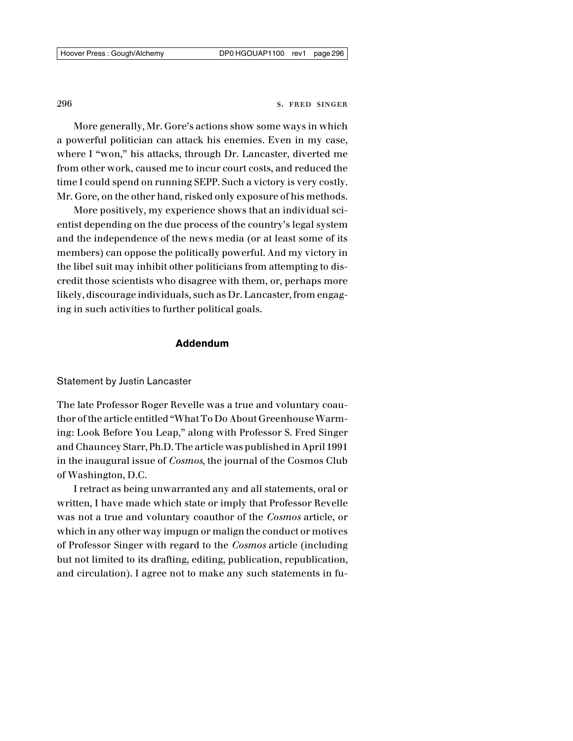More generally, Mr. Gore's actions show some ways in which a powerful politician can attack his enemies. Even in my case, where I "won," his attacks, through Dr. Lancaster, diverted me from other work, caused me to incur court costs, and reduced the time I could spend on running SEPP. Such a victory is very costly. Mr. Gore, on the other hand, risked only exposure of his methods.

More positively, my experience shows that an individual scientist depending on the due process of the country's legal system and the independence of the news media (or at least some of its members) can oppose the politically powerful. And my victory in the libel suit may inhibit other politicians from attempting to discredit those scientists who disagree with them, or, perhaps more likely, discourage individuals, such as Dr. Lancaster, from engaging in such activities to further political goals.

#### **Addendum**

#### Statement by Justin Lancaster

The late Professor Roger Revelle was a true and voluntary coauthor of the article entitled "What To Do About Greenhouse Warming: Look Before You Leap," along with Professor S. Fred Singer and Chauncey Starr, Ph.D. The article was published in April 1991 in the inaugural issue of *Cosmos*, the journal of the Cosmos Club of Washington, D.C.

I retract as being unwarranted any and all statements, oral or written, I have made which state or imply that Professor Revelle was not a true and voluntary coauthor of the *Cosmos* article, or which in any other way impugn or malign the conduct or motives of Professor Singer with regard to the *Cosmos* article (including but not limited to its drafting, editing, publication, republication, and circulation). I agree not to make any such statements in fu-